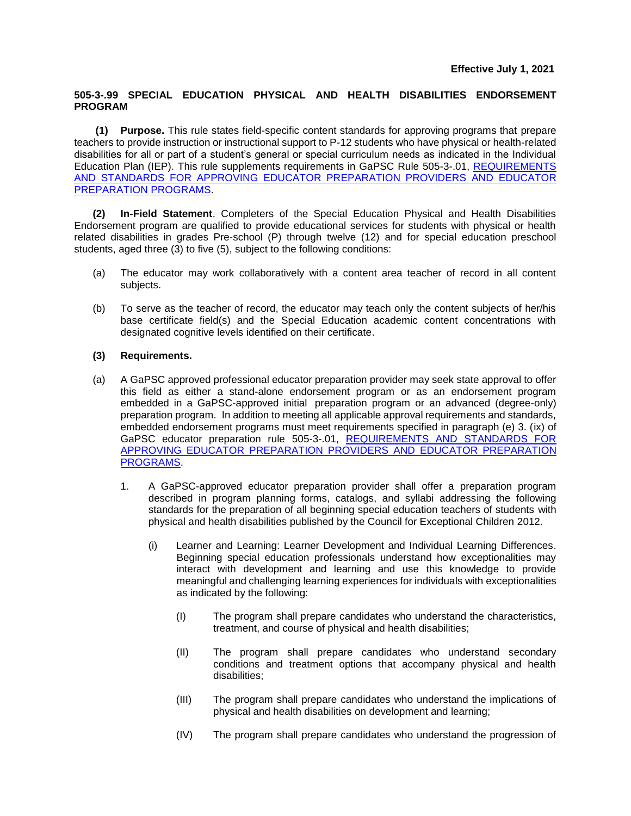## **505-3-.99 SPECIAL EDUCATION PHYSICAL AND HEALTH DISABILITIES ENDORSEMENT PROGRAM**

**(1) Purpose.** This rule states field-specific content standards for approving programs that prepare teachers to provide instruction or instructional support to P-12 students who have physical or health-related disabilities for all or part of a student's general or special curriculum needs as indicated in the Individual Education Plan (IEP). This rule supplements requirements in GaPSC Rule 505-3-.01, [REQUIREMENTS](https://www.gapsc.com/Rules/Current/EducatorPreparation/505-3-.01.pdf?dt=%3C%25#Eval()  [AND STANDARDS FOR APPROVING EDUCATOR PREPARATION PROVIDERS](https://www.gapsc.com/Rules/Current/EducatorPreparation/505-3-.01.pdf?dt=%3C%25#Eval() AND EDUCATOR [PREPARATION PROGRAMS.](https://www.gapsc.com/Rules/Current/EducatorPreparation/505-3-.01.pdf?dt=%3C%25#Eval()

**(2) In-Field Statement**. Completers of the Special Education Physical and Health Disabilities Endorsement program are qualified to provide educational services for students with physical or health related disabilities in grades Pre-school (P) through twelve (12) and for special education preschool students, aged three (3) to five (5), subject to the following conditions:

- (a) The educator may work collaboratively with a content area teacher of record in all content subjects.
- (b) To serve as the teacher of record, the educator may teach only the content subjects of her/his base certificate field(s) and the Special Education academic content concentrations with designated cognitive levels identified on their certificate.

## **(3) Requirements.**

- (a) A GaPSC approved professional educator preparation provider may seek state approval to offer this field as either a stand-alone endorsement program or as an endorsement program embedded in a GaPSC-approved initial preparation program or an advanced (degree-only) preparation program. In addition to meeting all applicable approval requirements and standards, embedded endorsement programs must meet requirements specified in paragraph (e) 3. (ix) of GaPSC educator preparation rule 505-3-.01, [REQUIREMENTS AND STANDARDS FOR](https://www.gapsc.com/Rules/Current/EducatorPreparation/505-3-.01.pdf?dt=%3C%25#Eval()  [APPROVING EDUCATOR PREPARATION PROVIDERS](https://www.gapsc.com/Rules/Current/EducatorPreparation/505-3-.01.pdf?dt=%3C%25#Eval() AND EDUCATOR PREPARATION [PROGRAMS.](https://www.gapsc.com/Rules/Current/EducatorPreparation/505-3-.01.pdf?dt=%3C%25#Eval()
	- 1. A GaPSC-approved educator preparation provider shall offer a preparation program described in program planning forms, catalogs, and syllabi addressing the following standards for the preparation of all beginning special education teachers of students with physical and health disabilities published by the Council for Exceptional Children 2012.
		- (i) Learner and Learning: Learner Development and Individual Learning Differences. Beginning special education professionals understand how exceptionalities may interact with development and learning and use this knowledge to provide meaningful and challenging learning experiences for individuals with exceptionalities as indicated by the following:
			- (I) The program shall prepare candidates who understand the characteristics, treatment, and course of physical and health disabilities;
			- (II) The program shall prepare candidates who understand secondary conditions and treatment options that accompany physical and health disabilities;
			- (III) The program shall prepare candidates who understand the implications of physical and health disabilities on development and learning;
			- (IV) The program shall prepare candidates who understand the progression of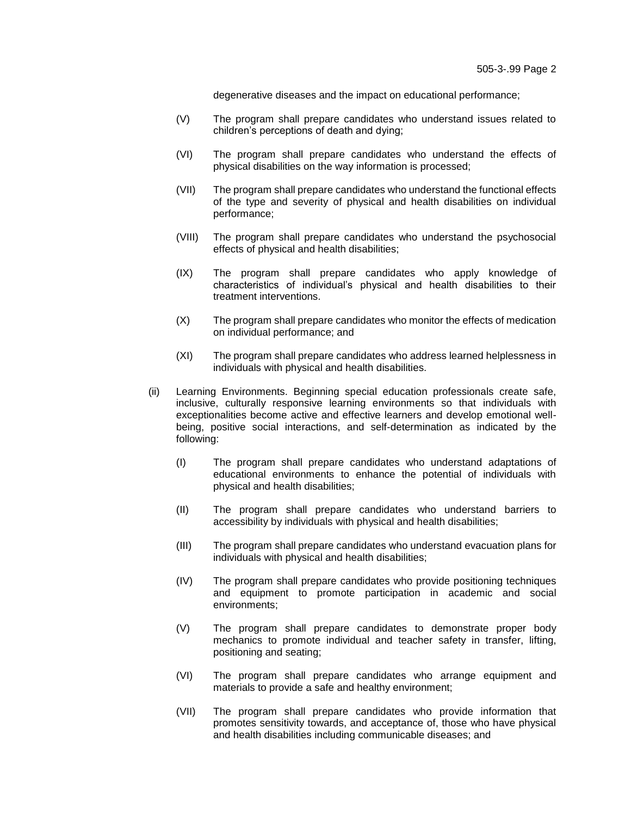degenerative diseases and the impact on educational performance;

- (V) The program shall prepare candidates who understand issues related to children's perceptions of death and dying;
- (VI) The program shall prepare candidates who understand the effects of physical disabilities on the way information is processed;
- (VII) The program shall prepare candidates who understand the functional effects of the type and severity of physical and health disabilities on individual performance;
- (VIII) The program shall prepare candidates who understand the psychosocial effects of physical and health disabilities;
- (IX) The program shall prepare candidates who apply knowledge of characteristics of individual's physical and health disabilities to their treatment interventions.
- (X) The program shall prepare candidates who monitor the effects of medication on individual performance; and
- (XI) The program shall prepare candidates who address learned helplessness in individuals with physical and health disabilities.
- (ii) Learning Environments. Beginning special education professionals create safe, inclusive, culturally responsive learning environments so that individuals with exceptionalities become active and effective learners and develop emotional wellbeing, positive social interactions, and self-determination as indicated by the following:
	- (I) The program shall prepare candidates who understand adaptations of educational environments to enhance the potential of individuals with physical and health disabilities;
	- (II) The program shall prepare candidates who understand barriers to accessibility by individuals with physical and health disabilities;
	- (III) The program shall prepare candidates who understand evacuation plans for individuals with physical and health disabilities;
	- (IV) The program shall prepare candidates who provide positioning techniques and equipment to promote participation in academic and social environments;
	- (V) The program shall prepare candidates to demonstrate proper body mechanics to promote individual and teacher safety in transfer, lifting, positioning and seating;
	- (VI) The program shall prepare candidates who arrange equipment and materials to provide a safe and healthy environment;
	- (VII) The program shall prepare candidates who provide information that promotes sensitivity towards, and acceptance of, those who have physical and health disabilities including communicable diseases; and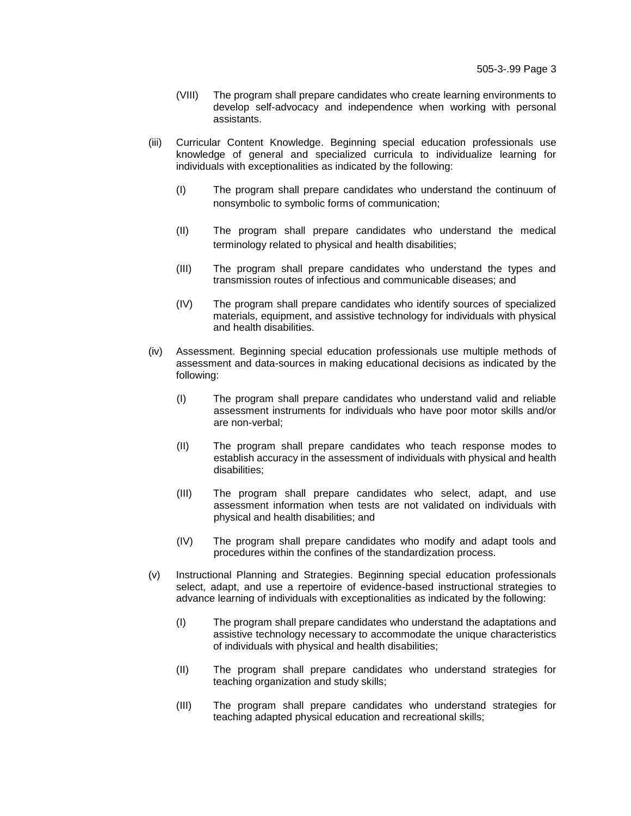- (VIII) The program shall prepare candidates who create learning environments to develop self-advocacy and independence when working with personal assistants.
- (iii) Curricular Content Knowledge. Beginning special education professionals use knowledge of general and specialized curricula to individualize learning for individuals with exceptionalities as indicated by the following:
	- (I) The program shall prepare candidates who understand the continuum of nonsymbolic to symbolic forms of communication;
	- (II) The program shall prepare candidates who understand the medical terminology related to physical and health disabilities;
	- (III) The program shall prepare candidates who understand the types and transmission routes of infectious and communicable diseases; and
	- (IV) The program shall prepare candidates who identify sources of specialized materials, equipment, and assistive technology for individuals with physical and health disabilities.
- (iv) Assessment. Beginning special education professionals use multiple methods of assessment and data-sources in making educational decisions as indicated by the following:
	- (I) The program shall prepare candidates who understand valid and reliable assessment instruments for individuals who have poor motor skills and/or are non-verbal;
	- (II) The program shall prepare candidates who teach response modes to establish accuracy in the assessment of individuals with physical and health disabilities;
	- (III) The program shall prepare candidates who select, adapt, and use assessment information when tests are not validated on individuals with physical and health disabilities; and
	- (IV) The program shall prepare candidates who modify and adapt tools and procedures within the confines of the standardization process.
- (v) Instructional Planning and Strategies. Beginning special education professionals select, adapt, and use a repertoire of evidence-based instructional strategies to advance learning of individuals with exceptionalities as indicated by the following:
	- (I) The program shall prepare candidates who understand the adaptations and assistive technology necessary to accommodate the unique characteristics of individuals with physical and health disabilities;
	- (II) The program shall prepare candidates who understand strategies for teaching organization and study skills;
	- (III) The program shall prepare candidates who understand strategies for teaching adapted physical education and recreational skills;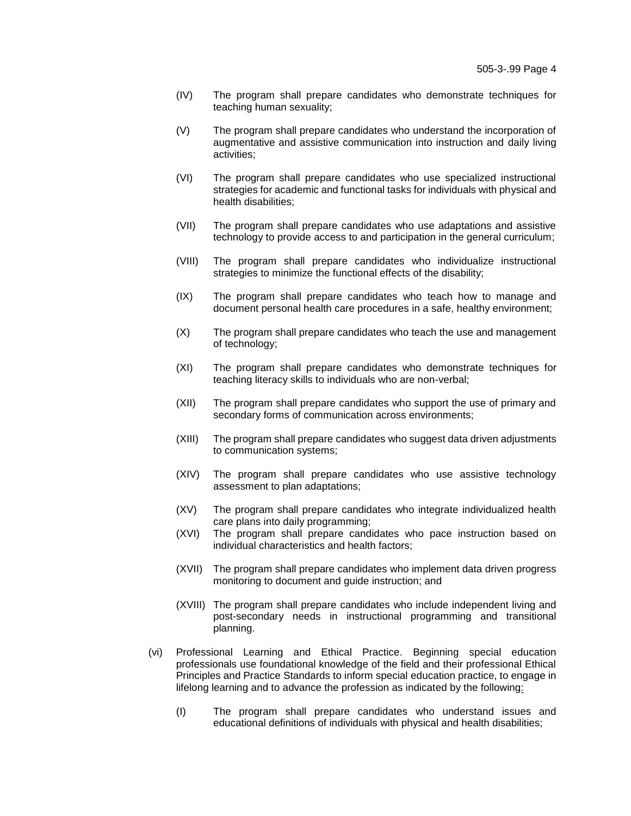- (IV) The program shall prepare candidates who demonstrate techniques for teaching human sexuality;
- (V) The program shall prepare candidates who understand the incorporation of augmentative and assistive communication into instruction and daily living activities;
- (VI) The program shall prepare candidates who use specialized instructional strategies for academic and functional tasks for individuals with physical and health disabilities;
- (VII) The program shall prepare candidates who use adaptations and assistive technology to provide access to and participation in the general curriculum;
- (VIII) The program shall prepare candidates who individualize instructional strategies to minimize the functional effects of the disability;
- (IX) The program shall prepare candidates who teach how to manage and document personal health care procedures in a safe, healthy environment;
- (X) The program shall prepare candidates who teach the use and management of technology;
- (XI) The program shall prepare candidates who demonstrate techniques for teaching literacy skills to individuals who are non-verbal;
- (XII) The program shall prepare candidates who support the use of primary and secondary forms of communication across environments;
- (XIII) The program shall prepare candidates who suggest data driven adjustments to communication systems;
- (XIV) The program shall prepare candidates who use assistive technology assessment to plan adaptations;
- (XV) The program shall prepare candidates who integrate individualized health care plans into daily programming;
- (XVI) The program shall prepare candidates who pace instruction based on individual characteristics and health factors;
- (XVII) The program shall prepare candidates who implement data driven progress monitoring to document and guide instruction; and
- (XVIII) The program shall prepare candidates who include independent living and post-secondary needs in instructional programming and transitional planning.
- (vi) Professional Learning and Ethical Practice. Beginning special education professionals use foundational knowledge of the field and their professional Ethical Principles and Practice Standards to inform special education practice, to engage in lifelong learning and to advance the profession as indicated by the following:
	- (I) The program shall prepare candidates who understand issues and educational definitions of individuals with physical and health disabilities;